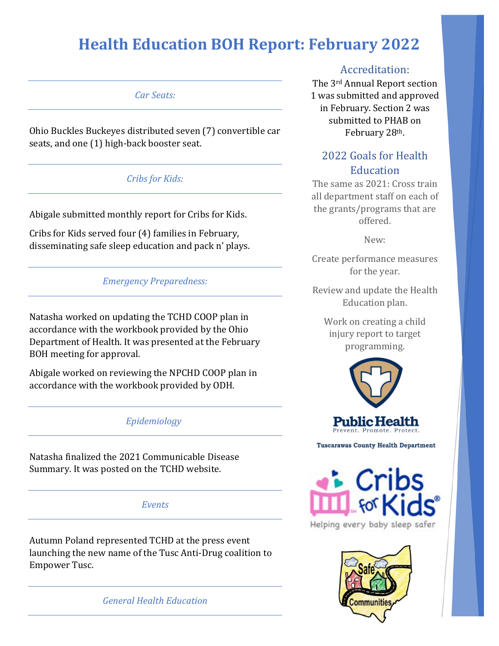## **Health Education BOH Report: February 2022**

*Car Seats:*

Ohio Buckles Buckeyes distributed seven (7) convertible car seats, and one (1) high-back booster seat.

### *Cribs for Kids:*

Abigale submitted monthly report for Cribs for Kids.

Cribs for Kids served four (4) families in February, disseminating safe sleep education and pack n' plays.

#### *Emergency Preparedness:*

Natasha worked on updating the TCHD COOP plan in accordance with the workbook provided by the Ohio Department of Health. It was presented at the February BOH meeting for approval.

Abigale worked on reviewing the NPCHD COOP plan in accordance with the workbook provided by ODH.

#### *Epidemiology*

Natasha finalized the 2021 Communicable Disease Summary. It was posted on the TCHD website.

#### *Events*

Autumn Poland represented TCHD at the press event launching the new name of the Tusc Anti-Drug coalition to Empower Tusc.

*General Health Education*

#### Accreditation:

The 3rd Annual Report section 1 was submitted and approved in February. Section 2 was submitted to PHAB on February 28th.

## 2022 Goals for Health **Education**

The same as 2021: Cross train all department staff on each of the grants/programs that are offered.

New:

Create performance measures for the year.

Review and update the Health Education plan.

Work on creating a child injury report to target programming.



**Tuscarawas County Health Department** 



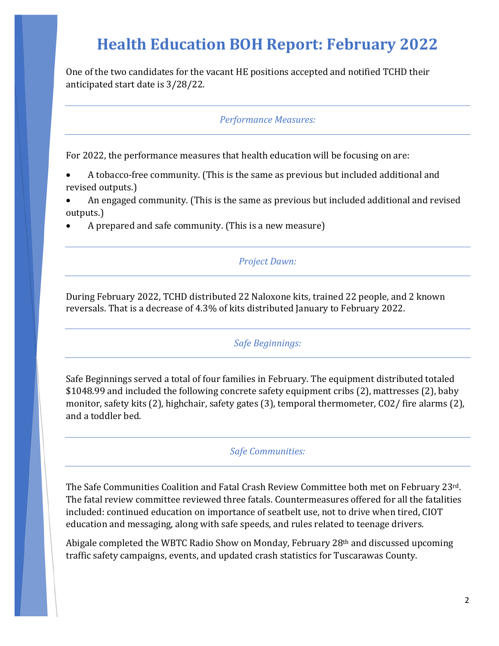# **Health Education BOH Report: February 2022**

One of the two candidates for the vacant HE positions accepted and notified TCHD their anticipated start date is 3/28/22.

*Performance Measures:*

For 2022, the performance measures that health education will be focusing on are:

- A tobacco-free community. (This is the same as previous but included additional and revised outputs.)
- An engaged community. (This is the same as previous but included additional and revised outputs.)
- A prepared and safe community. (This is a new measure)

*Project Dawn:*

During February 2022, TCHD distributed 22 Naloxone kits, trained 22 people, and 2 known reversals. That is a decrease of 4.3% of kits distributed January to February 2022.

*Safe Beginnings:*

Safe Beginnings served a total of four families in February. The equipment distributed totaled \$1048.99 and included the following concrete safety equipment cribs (2), mattresses (2), baby monitor, safety kits (2), highchair, safety gates (3), temporal thermometer, CO2/ fire alarms (2), and a toddler bed.

*Safe Communities:* 

The Safe Communities Coalition and Fatal Crash Review Committee both met on February 23rd. The fatal review committee reviewed three fatals. Countermeasures offered for all the fatalities included: continued education on importance of seatbelt use, not to drive when tired, CIOT education and messaging, along with safe speeds, and rules related to teenage drivers.

Abigale completed the WBTC Radio Show on Monday, February 28th and discussed upcoming traffic safety campaigns, events, and updated crash statistics for Tuscarawas County.